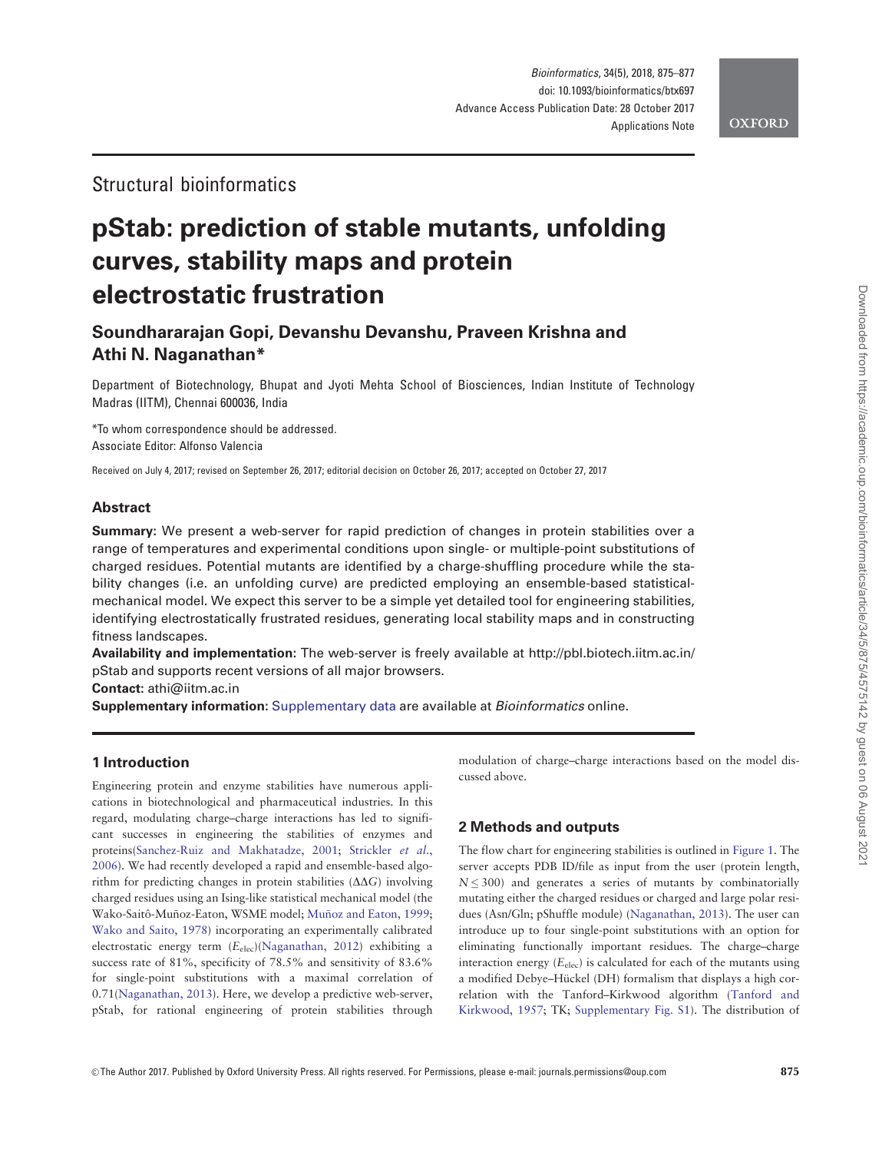# Structural bioinformatics

# pStab: prediction of stable mutants, unfolding curves, stability maps and protein electrostatic frustration

# Soundhararajan Gopi, Devanshu Devanshu, Praveen Krishna and Athi N. Naganathan\*

Department of Biotechnology, Bhupat and Jyoti Mehta School of Biosciences, Indian Institute of Technology Madras (IITM), Chennai 600036, India

\*To whom correspondence should be addressed. Associate Editor: Alfonso Valencia

Received on July 4, 2017; revised on September 26, 2017; editorial decision on October 26, 2017; accepted on October 27, 2017

## Abstract

Summary: We present a web-server for rapid prediction of changes in protein stabilities over a range of temperatures and experimental conditions upon single- or multiple-point substitutions of charged residues. Potential mutants are identified by a charge-shuffling procedure while the stability changes (i.e. an unfolding curve) are predicted employing an ensemble-based statisticalmechanical model. We expect this server to be a simple yet detailed tool for engineering stabilities, identifying electrostatically frustrated residues, generating local stability maps and in constructing fitness landscapes.

Availability and implementation: The web-server is freely available at http://pbl.biotech.iitm.ac.in/ pStab and supports recent versions of all major browsers.

Contact: athi@iitm.ac.in

Supplementary information: Supplementary data are available at *Bioinformatics* online.

# 1 Introduction

Engineering protein and enzyme stabilities have numerous applications in biotechnological and pharmaceutical industries. In this regard, modulating charge–charge interactions has led to significant successes in engineering the stabilities of enzymes and proteins(Sanchez-Ruiz and Makhatadze, 2001; Strickler et al., 2006). We had recently developed a rapid and ensemble-based algorithm for predicting changes in protein stabilities  $(\Delta \Delta G)$  involving charged residues using an Ising-like statistical mechanical model (the Wako-Saitô-Muñoz-Eaton, WSME model; Muñoz and Eaton, 1999; Wako and Saito, 1978) incorporating an experimentally calibrated electrostatic energy term (Eelec)(Naganathan, 2012) exhibiting a success rate of 81%, specificity of 78.5% and sensitivity of 83.6% for single-point substitutions with a maximal correlation of 0.71(Naganathan, 2013). Here, we develop a predictive web-server, pStab, for rational engineering of protein stabilities through

modulation of charge–charge interactions based on the model discussed above.

# 2 Methods and outputs

The flow chart for engineering stabilities is outlined in Figure 1. The server accepts PDB ID/file as input from the user (protein length,  $N \leq 300$ ) and generates a series of mutants by combinatorially mutating either the charged residues or charged and large polar residues (Asn/Gln; pShuffle module) (Naganathan, 2013). The user can introduce up to four single-point substitutions with an option for eliminating functionally important residues. The charge–charge interaction energy  $(E_{elec})$  is calculated for each of the mutants using a modified Debye-Hückel (DH) formalism that displays a high correlation with the Tanford–Kirkwood algorithm (Tanford and Kirkwood, 1957; TK; Supplementary Fig. S1). The distribution of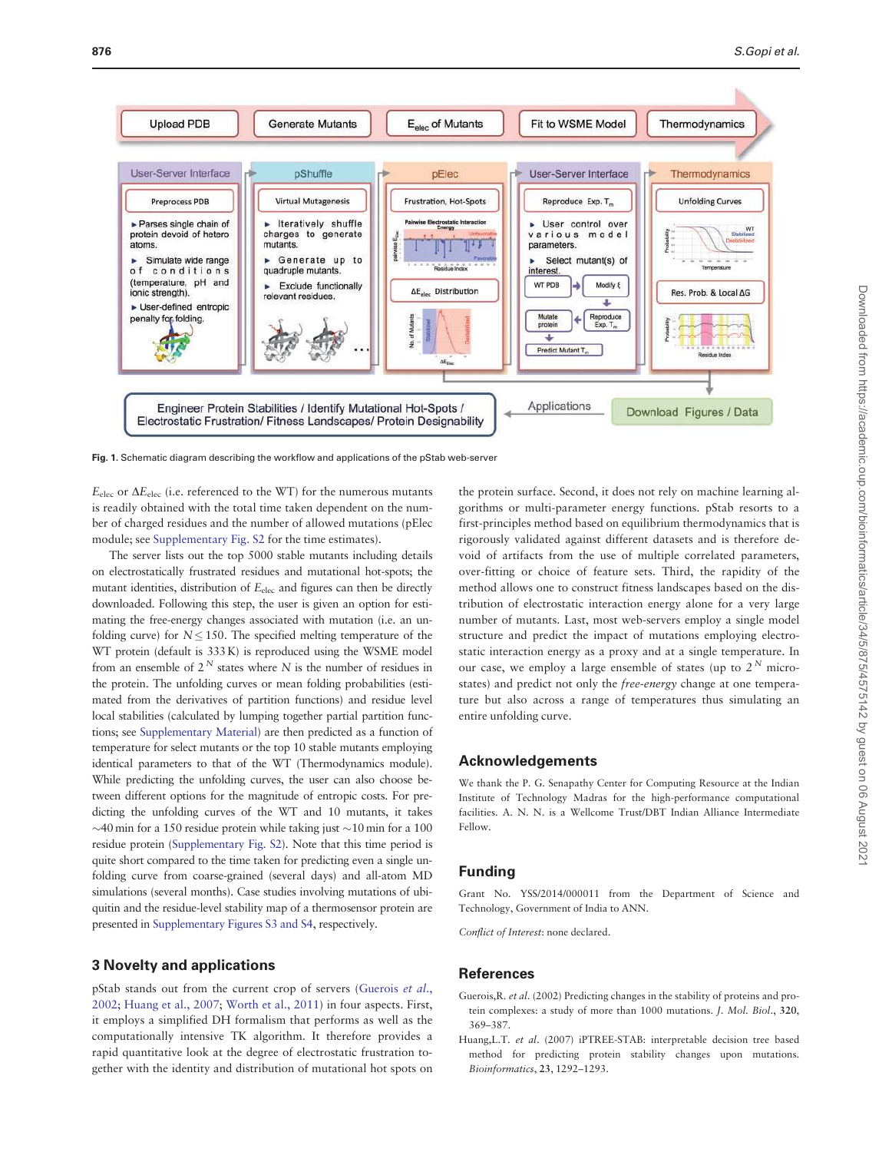

Fig. 1. Schematic diagram describing the workflow and applications of the pStab web-server

 $E_{\text{elec}}$  or  $\Delta E_{\text{elec}}$  (i.e. referenced to the WT) for the numerous mutants is readily obtained with the total time taken dependent on the number of charged residues and the number of allowed mutations (pElec module; see Supplementary Fig. S2 for the time estimates).

The server lists out the top 5000 stable mutants including details on electrostatically frustrated residues and mutational hot-spots; the mutant identities, distribution of  $E_{elec}$  and figures can then be directly downloaded. Following this step, the user is given an option for estimating the free-energy changes associated with mutation (i.e. an unfolding curve) for  $N \le 150$ . The specified melting temperature of the WT protein (default is 333 K) is reproduced using the WSME model from an ensemble of  $2^N$  states where N is the number of residues in the protein. The unfolding curves or mean folding probabilities (estimated from the derivatives of partition functions) and residue level local stabilities (calculated by lumping together partial partition functions; see Supplementary Material) are then predicted as a function of temperature for select mutants or the top 10 stable mutants employing identical parameters to that of the WT (Thermodynamics module). While predicting the unfolding curves, the user can also choose between different options for the magnitude of entropic costs. For predicting the unfolding curves of the WT and 10 mutants, it takes  $\sim$ 40 min for a 150 residue protein while taking just  $\sim$ 10 min for a 100 residue protein (Supplementary Fig. S2). Note that this time period is quite short compared to the time taken for predicting even a single unfolding curve from coarse-grained (several days) and all-atom MD simulations (several months). Case studies involving mutations of ubiquitin and the residue-level stability map of a thermosensor protein are presented in Supplementary Figures S3 and S4, respectively.

### 3 Novelty and applications

pStab stands out from the current crop of servers (Guerois et al., 2002; Huang et al., 2007; Worth et al., 2011) in four aspects. First, it employs a simplified DH formalism that performs as well as the computationally intensive TK algorithm. It therefore provides a rapid quantitative look at the degree of electrostatic frustration together with the identity and distribution of mutational hot spots on the protein surface. Second, it does not rely on machine learning algorithms or multi-parameter energy functions. pStab resorts to a first-principles method based on equilibrium thermodynamics that is rigorously validated against different datasets and is therefore devoid of artifacts from the use of multiple correlated parameters, over-fitting or choice of feature sets. Third, the rapidity of the method allows one to construct fitness landscapes based on the distribution of electrostatic interaction energy alone for a very large number of mutants. Last, most web-servers employ a single model structure and predict the impact of mutations employing electrostatic interaction energy as a proxy and at a single temperature. In our case, we employ a large ensemble of states (up to  $2^N$  microstates) and predict not only the free-energy change at one temperature but also across a range of temperatures thus simulating an entire unfolding curve.

#### Acknowledgements

We thank the P. G. Senapathy Center for Computing Resource at the Indian Institute of Technology Madras for the high-performance computational facilities. A. N. N. is a Wellcome Trust/DBT Indian Alliance Intermediate Fellow.

#### Funding

Grant No. YSS/2014/000011 from the Department of Science and Technology, Government of India to ANN.

Conflict of Interest: none declared.

#### References

- Guerois,R. et al. (2002) Predicting changes in the stability of proteins and protein complexes: a study of more than 1000 mutations. J. Mol. Biol., 320, 369–387.
- Huang,L.T. et al. (2007) iPTREE-STAB: interpretable decision tree based method for predicting protein stability changes upon mutations. Bioinformatics, 23, 1292–1293.